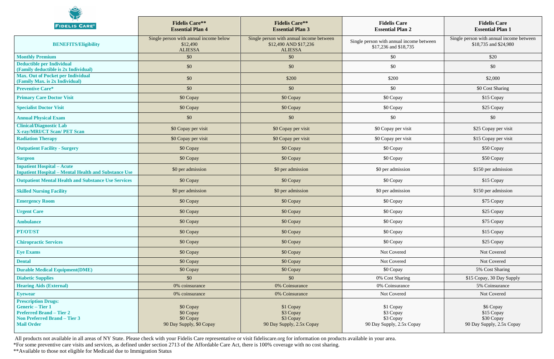| <b>FIDELIS CARE®</b>                                                                                                                               | <b>Fidelis Care**</b><br><b>Essential Plan 4</b>                     | <b>Fidelis Care**</b><br><b>Essential Plan 3</b>                                    | <b>Fidelis Care</b><br><b>Essential Plan 2</b>                    | <b>Fidelis Care</b><br><b>Essential Plan 1</b>                     |
|----------------------------------------------------------------------------------------------------------------------------------------------------|----------------------------------------------------------------------|-------------------------------------------------------------------------------------|-------------------------------------------------------------------|--------------------------------------------------------------------|
| <b>BENEFITS/Eligibility</b>                                                                                                                        | Single person with annual income below<br>\$12,490<br><b>ALIESSA</b> | Single person with annual income between<br>\$12,490 AND \$17,236<br><b>ALIESSA</b> | Single person with annual income between<br>\$17,236 and \$18,735 | Single person with annual income between<br>\$18,735 and \$24,980  |
| <b>Monthly Premium</b>                                                                                                                             | \$0                                                                  | \$0                                                                                 | \$0                                                               | \$20                                                               |
| <b>Deductible per Individual</b><br>(Family deductible is 2x Individual)                                                                           | \$0                                                                  | \$0                                                                                 | \$0                                                               | \$0                                                                |
| Max. Out of Pocket per Individual<br>(Family Max. is 2x Individual)                                                                                | \$0                                                                  | \$200                                                                               | \$200                                                             | \$2,000                                                            |
| <b>Preventive Care*</b>                                                                                                                            | \$0                                                                  | \$0                                                                                 | \$0                                                               | \$0 Cost Sharing                                                   |
| <b>Primary Care Doctor Visit</b>                                                                                                                   | \$0 Copay                                                            | \$0 Copay                                                                           | \$0 Copay                                                         | \$15 Copay                                                         |
| <b>Specialist Doctor Visit</b>                                                                                                                     | \$0 Copay                                                            | \$0 Copay                                                                           | \$0 Copay                                                         | \$25 Copay                                                         |
| <b>Annual Physical Exam</b>                                                                                                                        | \$0                                                                  | \$0                                                                                 | \$0                                                               | \$0                                                                |
| <b>Clinical/Diagnostic Lab</b><br><b>X-ray/MRI/CT Scan/ PET Scan</b>                                                                               | \$0 Copay per visit                                                  | \$0 Copay per visit                                                                 | \$0 Copay per visit                                               | \$25 Copay per visit                                               |
| <b>Radiation Therapy</b>                                                                                                                           | \$0 Copay per visit                                                  | \$0 Copay per visit                                                                 | \$0 Copay per visit                                               | \$15 Copay per visit                                               |
| <b>Outpatient Facility - Surgery</b>                                                                                                               | \$0 Copay                                                            | \$0 Copay                                                                           | \$0 Copay                                                         | \$50 Copay                                                         |
| <b>Surgeon</b>                                                                                                                                     | \$0 Copay                                                            | \$0 Copay                                                                           | \$0 Copay                                                         | \$50 Copay                                                         |
| <b>Inpatient Hospital – Acute</b><br><b>Inpatient Hospital - Mental Health and Substance Use</b>                                                   | \$0 per admission                                                    | \$0 per admission                                                                   | \$0 per admission                                                 | \$150 per admission                                                |
| <b>Outpatient Mental Health and Substance Use Services</b>                                                                                         | \$0 Copay                                                            | \$0 Copay                                                                           | \$0 Copay                                                         | \$15 Copay                                                         |
| <b>Skilled Nursing Facility</b>                                                                                                                    | \$0 per admission                                                    | \$0 per admission                                                                   | \$0 per admission                                                 | \$150 per admission                                                |
| <b>Emergency Room</b>                                                                                                                              | \$0 Copay                                                            | \$0 Copay                                                                           | \$0 Copay                                                         | \$75 Copay                                                         |
| <b>Urgent Care</b>                                                                                                                                 | \$0 Copay                                                            | \$0 Copay                                                                           | \$0 Copay                                                         | \$25 Copay                                                         |
| <b>Ambulance</b>                                                                                                                                   | \$0 Copay                                                            | \$0 Copay                                                                           | \$0 Copay                                                         | \$75 Copay                                                         |
| PT/OT/ST                                                                                                                                           | \$0 Copay                                                            | \$0 Copay                                                                           | \$0 Copay                                                         | \$15 Copay                                                         |
| <b>Chiropractic Services</b>                                                                                                                       | \$0 Copay                                                            | \$0 Copay                                                                           | \$0 Copay                                                         | \$25 Copay                                                         |
| <b>Eye Exams</b>                                                                                                                                   | \$0 Copay                                                            | \$0 Copay                                                                           | Not Covered                                                       | Not Covered                                                        |
| <b>Dental</b>                                                                                                                                      | \$0 Copay                                                            | \$0 Copay                                                                           | Not Covered                                                       | Not Covered                                                        |
| <b>Durable Medical Equipment(DME)</b>                                                                                                              | \$0 Copay                                                            | \$0 Copay                                                                           | \$0 Copay                                                         | 5% Cost Sharing                                                    |
| <b>Diabetic Supplies</b>                                                                                                                           | \$0                                                                  | \$0\$                                                                               | 0% Cost Sharing                                                   | \$15 Copay, 30 Day Supply                                          |
| <b>Hearing Aids (External)</b>                                                                                                                     | 0% coinsurance                                                       | 0% Coinsurance                                                                      | 0% Coinsurance                                                    | 5% Coinsurance                                                     |
| <b>Eyewear</b>                                                                                                                                     | 0% coinsurance                                                       | 0% Coinsurance                                                                      | Not Covered                                                       | Not Covered                                                        |
| <b>Prescription Drugs:</b><br><b>Generic-Tier 1</b><br><b>Preferred Brand – Tier 2</b><br><b>Non Preferred Brand - Tier 3</b><br><b>Mail Order</b> | \$0 Copay<br>\$0 Copay<br>\$0 Copay<br>90 Day Supply, \$0 Copay      | \$1 Copay<br>\$3 Copay<br>\$3 Copay<br>90 Day Supply, 2.5x Copay                    | \$1 Copay<br>\$3 Copay<br>\$3 Copay<br>90 Day Supply, 2.5x Copay  | \$6 Copay<br>\$15 Copay<br>\$30 Copay<br>90 Day Supply, 2.5x Copay |

All products not available in all areas of NY State. Please check with your Fidelis Care representative or visit fideliscare.org for information on products available in your area.

\*For some preventive care visits and services, as defined under section 2713 of the Affordable Care Act, there is 100% coverage with no cost sharing.

\*\*Available to those not eligible for Medicaid due to Immigration Status

 $\mathbf{e}_k$